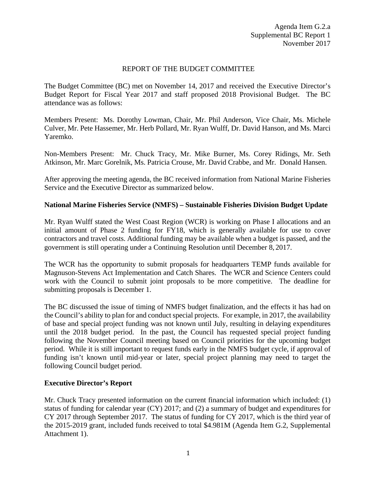### REPORT OF THE BUDGET COMMITTEE

The Budget Committee (BC) met on November 14, 2017 and received the Executive Director's Budget Report for Fiscal Year 2017 and staff proposed 2018 Provisional Budget. The BC attendance was as follows:

Members Present: Ms. Dorothy Lowman, Chair, Mr. Phil Anderson, Vice Chair, Ms. Michele Culver, Mr. Pete Hassemer, Mr. Herb Pollard, Mr. Ryan Wulff, Dr. David Hanson, and Ms. Marci Yaremko.

Non-Members Present: Mr. Chuck Tracy, Mr. Mike Burner, Ms. Corey Ridings, Mr. Seth Atkinson, Mr. Marc Gorelnik, Ms. Patricia Crouse, Mr. David Crabbe, and Mr. Donald Hansen.

After approving the meeting agenda, the BC received information from National Marine Fisheries Service and the Executive Director as summarized below.

## **National Marine Fisheries Service (NMFS) – Sustainable Fisheries Division Budget Update**

Mr. Ryan Wulff stated the West Coast Region (WCR) is working on Phase I allocations and an initial amount of Phase 2 funding for FY18, which is generally available for use to cover contractors and travel costs. Additional funding may be available when a budget is passed, and the government is still operating under a Continuing Resolution until December 8, 2017.

The WCR has the opportunity to submit proposals for headquarters TEMP funds available for Magnuson-Stevens Act Implementation and Catch Shares. The WCR and Science Centers could work with the Council to submit joint proposals to be more competitive. The deadline for submitting proposals is December 1.

The BC discussed the issue of timing of NMFS budget finalization, and the effects it has had on the Council's ability to plan for and conduct special projects. For example, in 2017, the availability of base and special project funding was not known until July, resulting in delaying expenditures until the 2018 budget period. In the past, the Council has requested special project funding following the November Council meeting based on Council priorities for the upcoming budget period. While it is still important to request funds early in the NMFS budget cycle, if approval of funding isn't known until mid-year or later, special project planning may need to target the following Council budget period.

#### **Executive Director's Report**

Mr. Chuck Tracy presented information on the current financial information which included: (1) status of funding for calendar year (CY) 2017; and (2) a summary of budget and expenditures for CY 2017 through September 2017. The status of funding for CY 2017, which is the third year of the 2015-2019 grant, included funds received to total \$4.981M (Agenda Item G.2, Supplemental Attachment 1).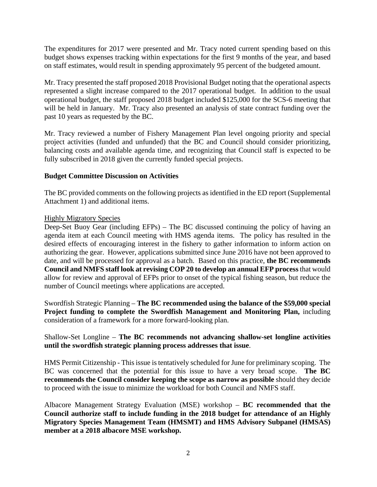The expenditures for 2017 were presented and Mr. Tracy noted current spending based on this budget shows expenses tracking within expectations for the first 9 months of the year, and based on staff estimates, would result in spending approximately 95 percent of the budgeted amount.

Mr. Tracy presented the staff proposed 2018 Provisional Budget noting that the operational aspects represented a slight increase compared to the 2017 operational budget. In addition to the usual operational budget, the staff proposed 2018 budget included \$125,000 for the SCS-6 meeting that will be held in January. Mr. Tracy also presented an analysis of state contract funding over the past 10 years as requested by the BC.

Mr. Tracy reviewed a number of Fishery Management Plan level ongoing priority and special project activities (funded and unfunded) that the BC and Council should consider prioritizing, balancing costs and available agenda time, and recognizing that Council staff is expected to be fully subscribed in 2018 given the currently funded special projects.

#### **Budget Committee Discussion on Activities**

The BC provided comments on the following projects as identified in the ED report (Supplemental Attachment 1) and additional items.

#### Highly Migratory Species

Deep-Set Buoy Gear (including EFPs) – The BC discussed continuing the policy of having an agenda item at each Council meeting with HMS agenda items. The policy has resulted in the desired effects of encouraging interest in the fishery to gather information to inform action on authorizing the gear. However, applications submitted since June 2016 have not been approved to date, and will be processed for approval as a batch. Based on this practice, **the BC recommends Council and NMFS staff look at revising COP 20 to develop an annual EFP process**that would allow for review and approval of EFPs prior to onset of the typical fishing season, but reduce the number of Council meetings where applications are accepted.

Swordfish Strategic Planning – **The BC recommended using the balance of the \$59,000 special Project funding to complete the Swordfish Management and Monitoring Plan,** including consideration of a framework for a more forward-looking plan.

# Shallow-Set Longline – **The BC recommends not advancing shallow-set longline activities until the swordfish strategic planning process addresses that issue**.

HMS Permit Citizenship - This issue is tentatively scheduled for June for preliminary scoping. The BC was concerned that the potential for this issue to have a very broad scope. **The BC recommends the Council consider keeping the scope as narrow as possible** should they decide to proceed with the issue to minimize the workload for both Council and NMFS staff.

Albacore Management Strategy Evaluation (MSE) workshop – **BC recommended that the Council authorize staff to include funding in the 2018 budget for attendance of an Highly Migratory Species Management Team (HMSMT) and HMS Advisory Subpanel (HMSAS) member at a 2018 albacore MSE workshop.**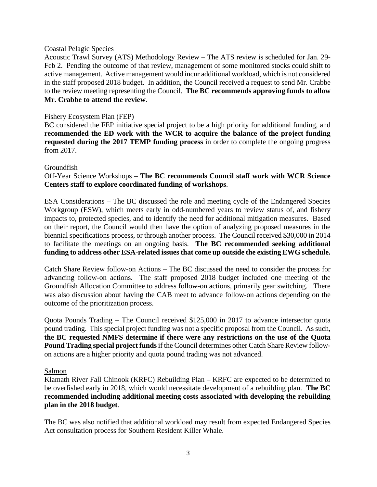#### Coastal Pelagic Species

Acoustic Trawl Survey (ATS) Methodology Review – The ATS review is scheduled for Jan. 29- Feb 2. Pending the outcome of that review, management of some monitored stocks could shift to active management. Active management would incur additional workload, which is not considered in the staff proposed 2018 budget. In addition, the Council received a request to send Mr. Crabbe to the review meeting representing the Council. **The BC recommends approving funds to allow Mr. Crabbe to attend the review**.

#### Fishery Ecosystem Plan (FEP)

BC considered the FEP initiative special project to be a high priority for additional funding, and **recommended the ED work with the WCR to acquire the balance of the project funding requested during the 2017 TEMP funding process** in order to complete the ongoing progress from 2017.

#### Groundfish

### Off-Year Science Workshops – **The BC recommends Council staff work with WCR Science Centers staff to explore coordinated funding of workshops**.

ESA Considerations – The BC discussed the role and meeting cycle of the Endangered Species Workgroup (ESW), which meets early in odd-numbered years to review status of, and fishery impacts to, protected species, and to identify the need for additional mitigation measures. Based on their report, the Council would then have the option of analyzing proposed measures in the biennial specifications process, or through another process. The Council received \$30,000 in 2014 to facilitate the meetings on an ongoing basis. **The BC recommended seeking additional funding to address other ESA-related issues that come up outside the existing EWG schedule.**

Catch Share Review follow-on Actions – The BC discussed the need to consider the process for advancing follow-on actions. The staff proposed 2018 budget included one meeting of the Groundfish Allocation Committee to address follow-on actions, primarily gear switching. There was also discussion about having the CAB meet to advance follow-on actions depending on the outcome of the prioritization process.

Quota Pounds Trading – The Council received \$125,000 in 2017 to advance intersector quota pound trading. This special project funding was not a specific proposal from the Council. As such, **the BC requested NMFS determine if there were any restrictions on the use of the Quota Pound Trading special project funds**if the Council determines other Catch Share Review followon actions are a higher priority and quota pound trading was not advanced.

#### Salmon

Klamath River Fall Chinook (KRFC) Rebuilding Plan – KRFC are expected to be determined to be overfished early in 2018, which would necessitate development of a rebuilding plan. **The BC recommended including additional meeting costs associated with developing the rebuilding plan in the 2018 budget**.

The BC was also notified that additional workload may result from expected Endangered Species Act consultation process for Southern Resident Killer Whale.